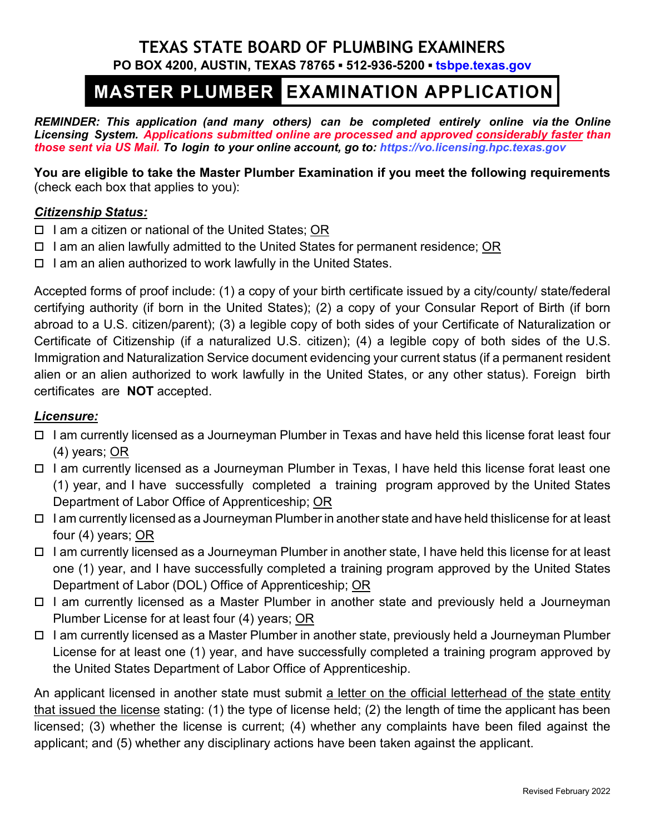## **TEXAS STATE BOARD OF PLUMBING EXAMINERS PO BOX 4200, AUSTIN, TEXAS 78765 ▪ 512-936-5200 ▪ [tsbpe.texas.gov](http://www.tsbpe.texas.gov/)**

# **MASTER PLUMBER EXAMINATION APPLICATION**

*REMINDER: This application (and many others) can be completed entirely online via the Online Licensing System. Applications submitted online are processed and approved considerably faster than those sent via US Mail. To login to your online account, go to: [https://vo.licensing.hpc.texas.gov](https://vo.licensing.hpc.texas.gov/)*

**You are eligible to take the Master Plumber Examination if you meet the following requirements**  (check each box that applies to you):

#### *Citizenship Status:*

- $\Box$  I am a citizen or national of the United States; OR
- $\Box$  I am an alien lawfully admitted to the United States for permanent residence; OR
- $\Box$  I am an alien authorized to work lawfully in the United States.

Accepted forms of proof include: (1) a copy of your birth certificate issued by a city/county/ state/federal certifying authority (if born in the United States); (2) a copy of your Consular Report of Birth (if born abroad to a U.S. citizen/parent); (3) a legible copy of both sides of your Certificate of Naturalization or Certificate of Citizenship (if a naturalized U.S. citizen); (4) a legible copy of both sides of the U.S. Immigration and Naturalization Service document evidencing your current status (if a permanent resident alien or an alien authorized to work lawfully in the United States, or any other status). Foreign birth certificates are **NOT** accepted.

#### *Licensure:*

- $\Box$  I am currently licensed as a Journeyman Plumber in Texas and have held this license forat least four (4) years; OR
- □ I am currently licensed as a Journeyman Plumber in Texas, I have held this license forat least one (1) year, and I have successfully completed a training program approved by the United States Department of Labor Office of Apprenticeship; OR
- $\Box$  I am currently licensed as a Journeyman Plumber in another state and have held thislicense for at least four (4) years; OR
- $\Box$  I am currently licensed as a Journeyman Plumber in another state, I have held this license for at least one (1) year, and I have successfully completed a training program approved by the United States Department of Labor (DOL) Office of Apprenticeship; OR
- $\Box$  I am currently licensed as a Master Plumber in another state and previously held a Journeyman Plumber License for at least four (4) years; OR
- $\Box$  I am currently licensed as a Master Plumber in another state, previously held a Journeyman Plumber License for at least one (1) year, and have successfully completed a training program approved by the United States Department of Labor Office of Apprenticeship.

An applicant licensed in another state must submit a letter on the official letterhead of the state entity that issued the license stating: (1) the type of license held; (2) the length of time the applicant has been licensed; (3) whether the license is current; (4) whether any complaints have been filed against the applicant; and (5) whether any disciplinary actions have been taken against the applicant.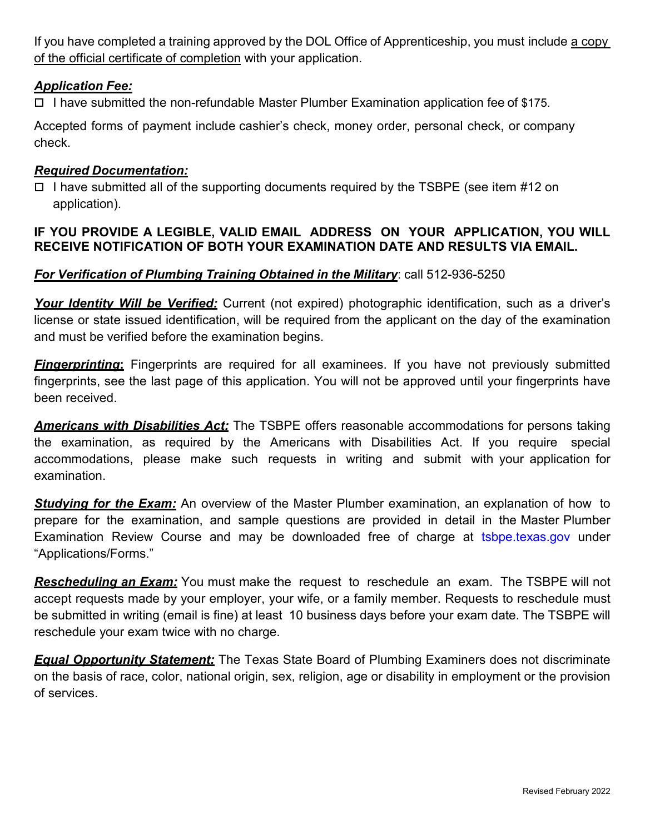If you have completed a training approved by the DOL Office of Apprenticeship, you must include a copy of the official certificate of completion with your application.

### *Application Fee:*

 $\Box$  I have submitted the non-refundable Master Plumber Examination application fee of \$175.

Accepted forms of payment include cashier's check, money order, personal check, or company check.

## *Required Documentation:*

 $\Box$  I have submitted all of the supporting documents required by the TSBPE (see item #12 on application).

## **IF YOU PROVIDE A LEGIBLE, VALID EMAIL ADDRESS ON YOUR APPLICATION, YOU WILL RECEIVE NOTIFICATION OF BOTH YOUR EXAMINATION DATE AND RESULTS VIA EMAIL.**

## *For Verification of Plumbing Training Obtained in the Military*: call 512-936-5250

*Your Identity Will be Verified:* Current (not expired) photographic identification, such as a driver's license or state issued identification, will be required from the applicant on the day of the examination and must be verified before the examination begins.

*Fingerprinting***:** Fingerprints are required for all examinees. If you have not previously submitted fingerprints, see the last page of this application. You will not be approved until your fingerprints have been received.

*Americans with Disabilities Act:* The TSBPE offers reasonable accommodations for persons taking the examination, as required by the Americans with Disabilities Act. If you require special accommodations, please make such requests in writing and submit with your application for examination.

**Studying for the Exam:** An overview of the Master Plumber examination, an explanation of how to prepare for the examination, and sample questions are provided in detail in the Master Plumber Examination Review Course and may be downloaded free of charge at [tsbpe.texas.gov u](http://www.tsbpe.texas.gov/)nder "Applications/Forms."

*Rescheduling an Exam:* You must make the request to reschedule an exam. The TSBPE will not accept requests made by your employer, your wife, or a family member. Requests to reschedule must be submitted in writing (email is fine) at least 10 business days before your exam date. The TSBPE will reschedule your exam twice with no charge.

*Equal Opportunity Statement:* The Texas State Board of Plumbing Examiners does not discriminate on the basis of race, color, national origin, sex, religion, age or disability in employment or the provision of services.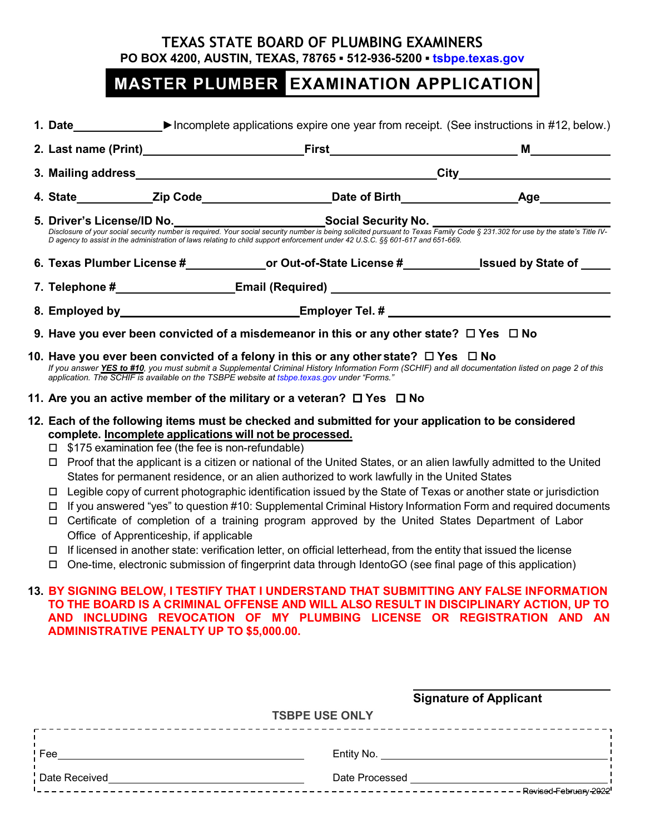**TEXAS STATE BOARD OF PLUMBING EXAMINERS**

**PO BOX 4200, AUSTIN, TEXAS, 78765 ▪ 512-936-5200 ▪ [tsbpe.texas.gov](http://www.tsbpe.texas.gov/)**

## MASTER PLUMBER EXAMINATION APPLICATION

|  |                                                                                                                                                                                                                                                                                                                                                                                                                                                                                                                                                                                                                                                                                                                                                                                                                                                                                                                                                                                                                                                                                                                                                                                                                                                     | 5. Driver's License/ID No.<br>Disclosure of your social security number is required. Your social security number is being solicited pursuant to Texas Family Code § 231.302 for use by the state's Title IV-<br>D agency to assist in the administration of laws relating to child support enforcement under 42 U.S.C. §§ 601-617 and 651-669. |                               |  |
|--|-----------------------------------------------------------------------------------------------------------------------------------------------------------------------------------------------------------------------------------------------------------------------------------------------------------------------------------------------------------------------------------------------------------------------------------------------------------------------------------------------------------------------------------------------------------------------------------------------------------------------------------------------------------------------------------------------------------------------------------------------------------------------------------------------------------------------------------------------------------------------------------------------------------------------------------------------------------------------------------------------------------------------------------------------------------------------------------------------------------------------------------------------------------------------------------------------------------------------------------------------------|------------------------------------------------------------------------------------------------------------------------------------------------------------------------------------------------------------------------------------------------------------------------------------------------------------------------------------------------|-------------------------------|--|
|  |                                                                                                                                                                                                                                                                                                                                                                                                                                                                                                                                                                                                                                                                                                                                                                                                                                                                                                                                                                                                                                                                                                                                                                                                                                                     | 6. Texas Plumber License #________________or Out-of-State License #____________Issued by State of _____                                                                                                                                                                                                                                        |                               |  |
|  |                                                                                                                                                                                                                                                                                                                                                                                                                                                                                                                                                                                                                                                                                                                                                                                                                                                                                                                                                                                                                                                                                                                                                                                                                                                     | 7. Telephone #_______________________Email (Required) __________________________                                                                                                                                                                                                                                                               |                               |  |
|  |                                                                                                                                                                                                                                                                                                                                                                                                                                                                                                                                                                                                                                                                                                                                                                                                                                                                                                                                                                                                                                                                                                                                                                                                                                                     | 8. Employed by___________________________Employer Tel. # _______________________                                                                                                                                                                                                                                                               |                               |  |
|  | 9. Have you ever been convicted of a misdemeanor in this or any other state? $\Box$ Yes $\Box$ No                                                                                                                                                                                                                                                                                                                                                                                                                                                                                                                                                                                                                                                                                                                                                                                                                                                                                                                                                                                                                                                                                                                                                   |                                                                                                                                                                                                                                                                                                                                                |                               |  |
|  | 10. Have you ever been convicted of a felony in this or any other state? $\Box$ Yes $\Box$ No<br>If you answer YES to #10, you must submit a Supplemental Criminal History Information Form (SCHIF) and all documentation listed on page 2 of this<br>application. The SCHIF is available on the TSBPE website at tsbpe.texas.gov under "Forms."                                                                                                                                                                                                                                                                                                                                                                                                                                                                                                                                                                                                                                                                                                                                                                                                                                                                                                    |                                                                                                                                                                                                                                                                                                                                                |                               |  |
|  | 11. Are you an active member of the military or a veteran? $\Box$ Yes $\Box$ No                                                                                                                                                                                                                                                                                                                                                                                                                                                                                                                                                                                                                                                                                                                                                                                                                                                                                                                                                                                                                                                                                                                                                                     |                                                                                                                                                                                                                                                                                                                                                |                               |  |
|  | $\Box$ \$175 examination fee (the fee is non-refundable)<br>□ Proof that the applicant is a citizen or national of the United States, or an alien lawfully admitted to the United<br>States for permanent residence, or an alien authorized to work lawfully in the United States<br>Legible copy of current photographic identification issued by the State of Texas or another state or jurisdiction<br>If you answered "yes" to question #10: Supplemental Criminal History Information Form and required documents<br>$\Box$<br>Certificate of completion of a training program approved by the United States Department of Labor<br>0<br>Office of Apprenticeship, if applicable<br>If licensed in another state: verification letter, on official letterhead, from the entity that issued the license<br>0<br>One-time, electronic submission of fingerprint data through IdentoGO (see final page of this application)<br>0<br>13. BY SIGNING BELOW, I TESTIFY THAT I UNDERSTAND THAT SUBMITTING ANY FALSE INFORMATION<br>TO THE BOARD IS A CRIMINAL OFFENSE AND WILL ALSO RESULT IN DISCIPLINARY ACTION, UP TO<br>AND INCLUDING REVOCATION OF MY PLUMBING LICENSE OR REGISTRATION AND AN<br><b>ADMINISTRATIVE PENALTY UP TO \$5,000.00.</b> |                                                                                                                                                                                                                                                                                                                                                |                               |  |
|  |                                                                                                                                                                                                                                                                                                                                                                                                                                                                                                                                                                                                                                                                                                                                                                                                                                                                                                                                                                                                                                                                                                                                                                                                                                                     | <b>TSBPE USE ONLY</b>                                                                                                                                                                                                                                                                                                                          | <b>Signature of Applicant</b> |  |
|  |                                                                                                                                                                                                                                                                                                                                                                                                                                                                                                                                                                                                                                                                                                                                                                                                                                                                                                                                                                                                                                                                                                                                                                                                                                                     |                                                                                                                                                                                                                                                                                                                                                |                               |  |
|  |                                                                                                                                                                                                                                                                                                                                                                                                                                                                                                                                                                                                                                                                                                                                                                                                                                                                                                                                                                                                                                                                                                                                                                                                                                                     |                                                                                                                                                                                                                                                                                                                                                |                               |  |
|  |                                                                                                                                                                                                                                                                                                                                                                                                                                                                                                                                                                                                                                                                                                                                                                                                                                                                                                                                                                                                                                                                                                                                                                                                                                                     |                                                                                                                                                                                                                                                                                                                                                |                               |  |